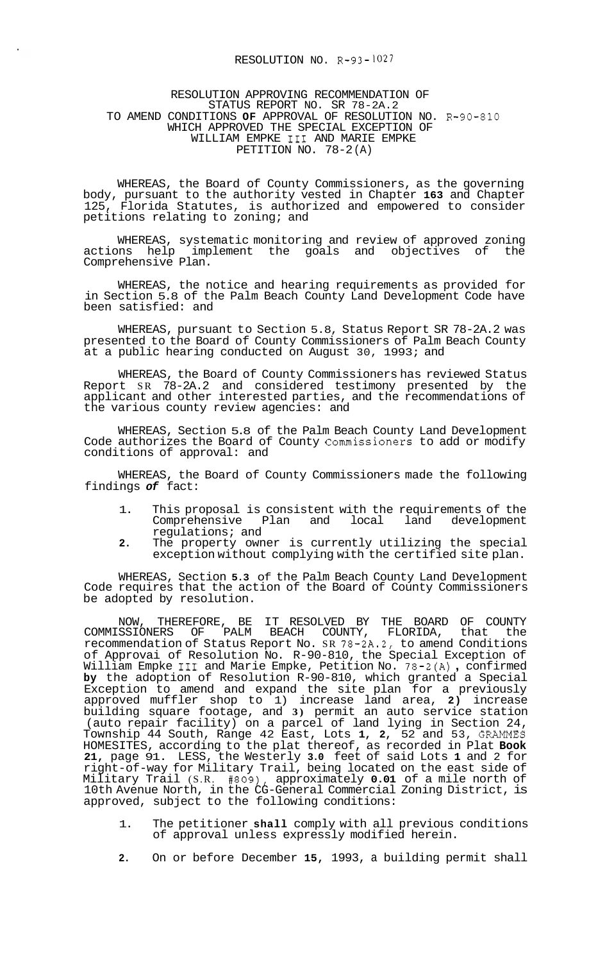## RESOLUTION NO. R-93-1027

## RESOLUTION APPROVING RECOMMENDATION OF STATUS REPORT NO. SR 78-2A.2 TO AMEND CONDITIONS **OF** APPROVAL OF RESOLUTION NO. R-90-810 WHICH APPROVED THE SPECIAL EXCEPTION OF WILLIAM EMPKE I11 AND MARIE EMPKE PETITION NO. 78-2(A)

WHEREAS, the Board of County Commissioners, as the governing body, pursuant to the authority vested in Chapter **163** and Chapter 125, Florida Statutes, is authorized and empowered to consider petitions relating to zoning; and

WHEREAS, systematic monitoring and review of approved zoning<br>ons help implement the goals and objectives of the actions help implement the goals and objectives Comprehensive Plan.

WHEREAS, the notice and hearing requirements as provided for in Section 5.8 of the Palm Beach County Land Development Code have been satisfied: and

WHEREAS, pursuant to Section 5.8, Status Report SR 78-2A.2 was presented to the Board of County Commissioners of Palm Beach County at a public hearing conducted on August 30, 1993; and

WHEREAS, the Board of County Commissioners has reviewed Status Report SR 78-2A.2 and considered testimony presented by the applicant and other interested parties, and the recommendations of the various county review agencies: and

WHEREAS, Section 5.8 of the Palm Beach County Land Development Code authorizes the Board of County Commissioners to add or modify conditions of approval: and

WHEREAS, the Board of County Commissioners made the following findings *of* fact:

- 1. This proposal is consistent with the requirements of the Comprehensive Plan and local land development regulations; and
- **2.** The property owner is currently utilizing the special exception without complying with the certified site plan.

WHEREAS, Section **5.3** of the Palm Beach County Land Development Code requires that the action of the Board of County Commissioners be adopted by resolution.

NOW, THEREFORE, BE IT RESOLVED BY THE BOARD OF COUNTY COMMISSIONERS OF PALM BEACH COUNTY, FLORIDA, that the recommendation of Status Report No. SR 78-2A.2, to amend Conditions of Approvai of Resolution No. R-90-810, the Special Exception of or Approval or Resolution No. R-90-810, the Special Exception or<br>William Empke III and Marie Empke, Petition No. 78-2(A), confirmed **by** the adoption of Resolution R-90-810, which granted a Special Exception to amend and expand the site plan for a previously approved muffler shop to 1) increase land area, **2)** increase building square footage, and **3)** permit an auto service station (auto repair facility) on a parcel of land lying in Section 24, Township 44 South, Range 42 East, Lots **1, 2,** 52 and 53, **GRAMMES**  HOMESITES, according to the plat thereof, as recorded in Plat **Book 21,** page 91. LESS, the Westerly **3.0** feet of said Lots **1** and 2 for right-of-way for Military Trail, being located on the east side of Military Trail (S.R. #809), approximately **0.01** of a mile north of 10th Avenue North, in the CG-General Commercial Zoning District, is approved, subject to the following conditions:

- 1. The petitioner **shall** comply with all previous conditions of approval unless expressly modified herein.
- **2.** On or before December **15,** 1993, a building permit shall